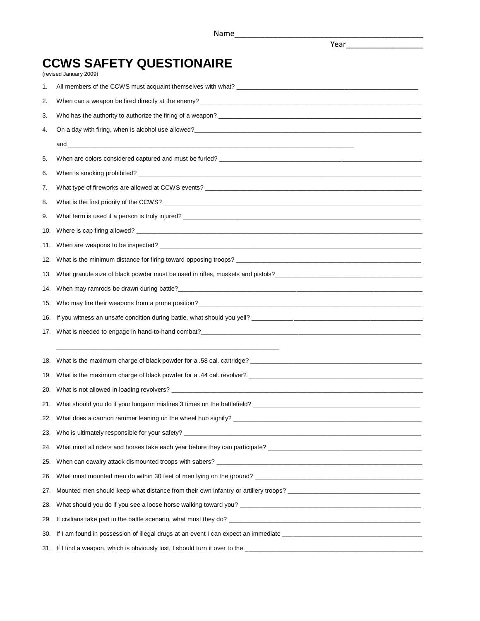Year\_\_\_\_\_\_\_\_\_\_\_\_\_\_\_\_\_\_

## **CCWS SAFETY QUESTIONAIRE**

(revised January 2009)

| 1.  |                                                                                 |
|-----|---------------------------------------------------------------------------------|
| 2.  |                                                                                 |
| 3.  |                                                                                 |
| 4.  |                                                                                 |
|     |                                                                                 |
| 5.  |                                                                                 |
| 6.  |                                                                                 |
| 7.  |                                                                                 |
| 8.  |                                                                                 |
| 9.  |                                                                                 |
| 10. |                                                                                 |
| 11. |                                                                                 |
| 12. |                                                                                 |
| 13. |                                                                                 |
| 14. |                                                                                 |
| 15. |                                                                                 |
| 16. |                                                                                 |
|     |                                                                                 |
|     |                                                                                 |
| 18. |                                                                                 |
| 19. |                                                                                 |
| 20. |                                                                                 |
| 21. |                                                                                 |
|     |                                                                                 |
|     | Who is ultimately responsible for your safety? ________                         |
| 24. |                                                                                 |
| 25. |                                                                                 |
| 26. | What must mounted men do within 30 feet of men lying on the ground?             |
| 27. |                                                                                 |
| 28. |                                                                                 |
| 29. |                                                                                 |
| 30. |                                                                                 |
|     | 31. If I find a weapon, which is obviously lost, I should turn it over to the _ |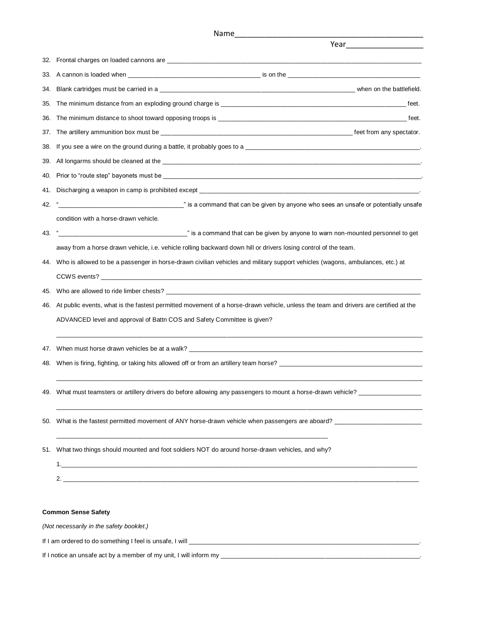|     | Name_                                                                                                                                                   |
|-----|---------------------------------------------------------------------------------------------------------------------------------------------------------|
|     |                                                                                                                                                         |
| 32. |                                                                                                                                                         |
|     |                                                                                                                                                         |
| 34. |                                                                                                                                                         |
| 35. |                                                                                                                                                         |
| 36. | The minimum distance to shoot toward opposing troops is example to the minimum distance to shoot toward opposing troops is                              |
| 37. |                                                                                                                                                         |
| 38. |                                                                                                                                                         |
| 39. |                                                                                                                                                         |
|     |                                                                                                                                                         |
| 41. |                                                                                                                                                         |
|     |                                                                                                                                                         |
|     | condition with a horse-drawn vehicle.                                                                                                                   |
| 43. | is a command that can be given by anyone to warn non-mounted personnel to get (set all that can be given by anyone to warn non-mounted personnel to get |
|     | away from a horse drawn vehicle, i.e. vehicle rolling backward down hill or drivers losing control of the team.                                         |
|     | 44. Who is allowed to be a passenger in horse-drawn civilian vehicles and military support vehicles (wagons, ambulances, etc.) at                       |
|     |                                                                                                                                                         |
| 45. |                                                                                                                                                         |
| 46. | At public events, what is the fastest permitted movement of a horse-drawn vehicle, unless the team and drivers are certified at the                     |
|     | ADVANCED level and approval of Battn COS and Safety Committee is given?                                                                                 |
|     |                                                                                                                                                         |
|     |                                                                                                                                                         |
|     |                                                                                                                                                         |
|     | 49. What must teamsters or artillery drivers do before allowing any passengers to mount a horse-drawn vehicle? ________________                         |
|     |                                                                                                                                                         |
|     | 51. What two things should mounted and foot soldiers NOT do around horse-drawn vehicles, and why?                                                       |
|     |                                                                                                                                                         |
|     |                                                                                                                                                         |
|     |                                                                                                                                                         |
|     |                                                                                                                                                         |
|     | <b>Common Sense Safety</b>                                                                                                                              |
|     | (Not necessarily in the safety booklet.)                                                                                                                |

If I am ordered to do something I feel is unsafe, I will \_\_\_\_\_\_\_\_\_\_\_\_\_\_\_\_\_\_\_\_\_\_\_\_\_\_\_\_\_\_\_\_\_\_\_\_\_\_\_\_\_\_\_\_\_\_\_\_\_\_\_\_\_\_\_\_\_\_\_\_\_\_\_\_\_\_.

If I notice an unsafe act by a member of my unit, I will inform my \_\_\_\_\_\_\_\_\_\_\_\_\_\_\_\_\_\_\_\_\_\_\_\_\_\_\_\_\_\_\_\_\_\_\_\_\_\_\_\_\_\_\_\_\_\_\_\_\_\_\_\_\_\_\_\_\_.